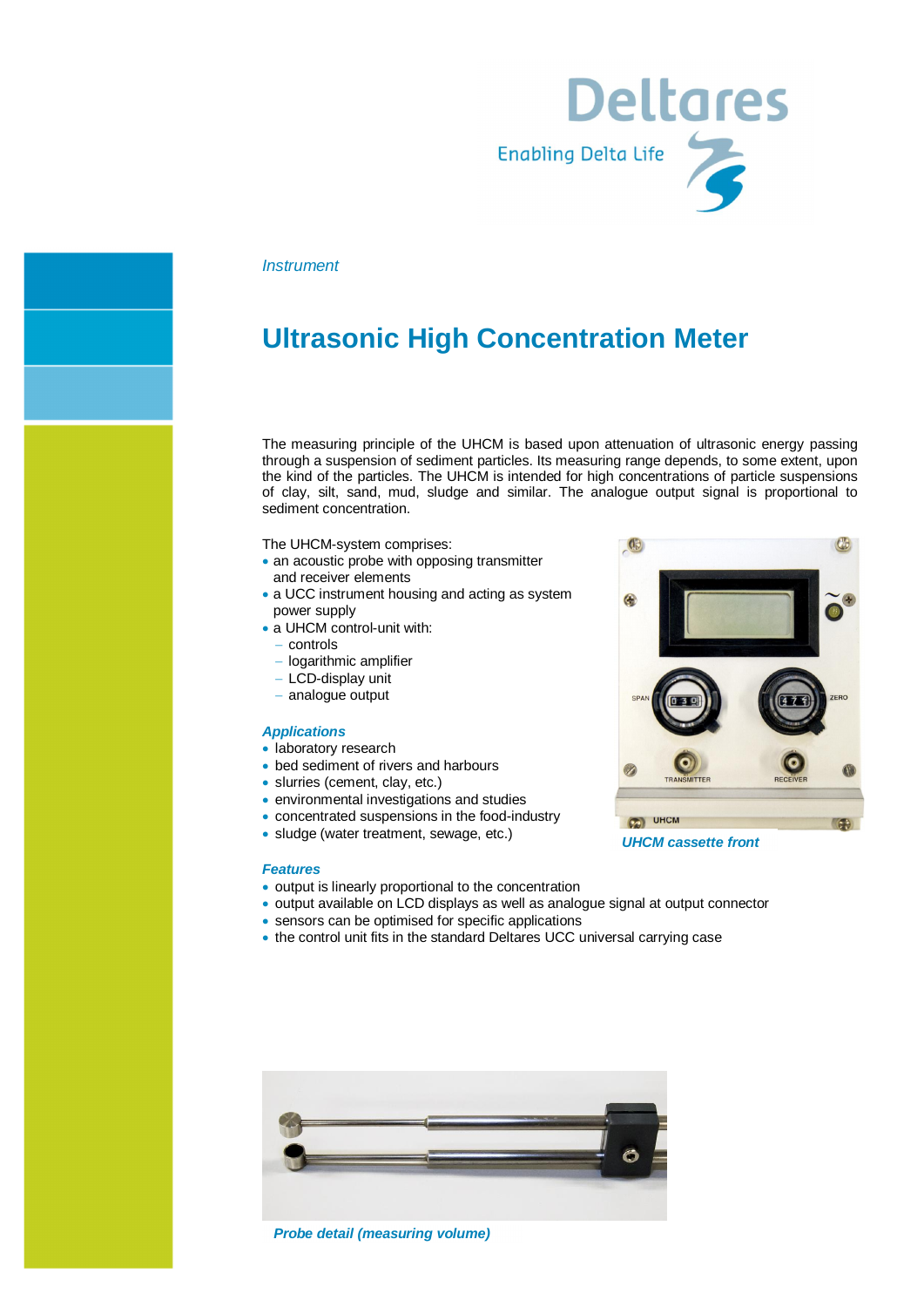

#### *Instrument*

# **Ultrasonic High Concentration Meter**

The measuring principle of the UHCM is based upon attenuation of ultrasonic energy passing through a suspension of sediment particles. Its measuring range depends, to some extent, upon the kind of the particles. The UHCM is intended for high concentrations of particle suspensions of clay, silt, sand, mud, sludge and similar. The analogue output signal is proportional to sediment concentration.

The UHCM-system comprises:

- an acoustic probe with opposing transmitter and receiver elements
- a UCC instrument housing and acting as system power supply
- a UHCM control-unit with:
	- controls
	- logarithmic amplifier
	- LCD-display unit
	- analogue output

#### *Applications*

- · laboratory research
- bed sediment of rivers and harbours
- slurries (cement, clay, etc.)
- · environmental investigations and studies
- · concentrated suspensions in the food-industry
- · sludge (water treatment, sewage, etc.)

#### *Features*

- · output is linearly proportional to the concentration
- · output available on LCD displays as well as analogue signal at output connector
- · sensors can be optimised for specific applications
- · the control unit fits in the standard Deltares UCC universal carrying case



*Probe detail (measuring volume)*



*UHCM cassette front*

- 
- 
- 
- 
-